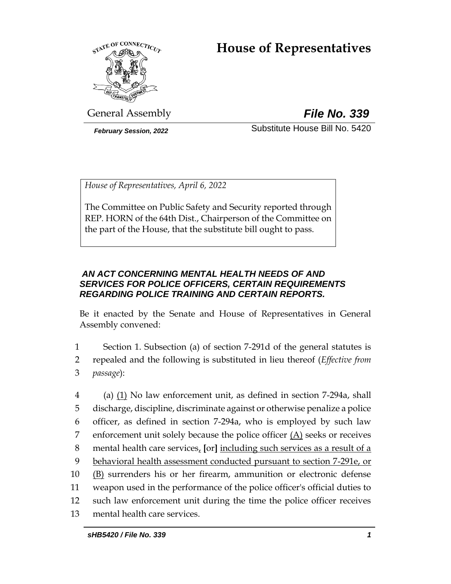# **House of Representatives**



General Assembly *File No. 339*

*February Session, 2022* Substitute House Bill No. 5420

*House of Representatives, April 6, 2022*

The Committee on Public Safety and Security reported through REP. HORN of the 64th Dist., Chairperson of the Committee on the part of the House, that the substitute bill ought to pass.

# *AN ACT CONCERNING MENTAL HEALTH NEEDS OF AND SERVICES FOR POLICE OFFICERS, CERTAIN REQUIREMENTS REGARDING POLICE TRAINING AND CERTAIN REPORTS.*

Be it enacted by the Senate and House of Representatives in General Assembly convened:

1 Section 1. Subsection (a) of section 7-291d of the general statutes is 2 repealed and the following is substituted in lieu thereof (*Effective from*  3 *passage*):

 (a) (1) No law enforcement unit, as defined in section 7-294a, shall discharge, discipline, discriminate against or otherwise penalize a police officer, as defined in section 7-294a, who is employed by such law enforcement unit solely because the police officer (A) seeks or receives mental health care services, **[**or**]** including such services as a result of a 9 behavioral health assessment conducted pursuant to section 7-291e, or (B) surrenders his or her firearm, ammunition or electronic defense weapon used in the performance of the police officer's official duties to such law enforcement unit during the time the police officer receives mental health care services.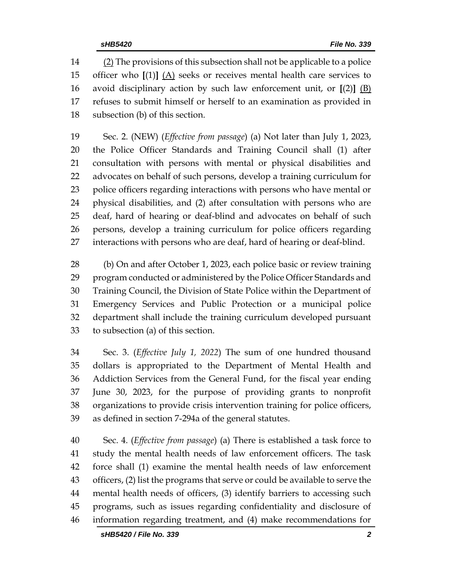(2) The provisions of this subsection shall not be applicable to a police officer who **[**(1)**]** (A) seeks or receives mental health care services to avoid disciplinary action by such law enforcement unit, or **[**(2)**]** (B) refuses to submit himself or herself to an examination as provided in subsection (b) of this section.

 Sec. 2. (NEW) (*Effective from passage*) (a) Not later than July 1, 2023, the Police Officer Standards and Training Council shall (1) after consultation with persons with mental or physical disabilities and advocates on behalf of such persons, develop a training curriculum for police officers regarding interactions with persons who have mental or physical disabilities, and (2) after consultation with persons who are deaf, hard of hearing or deaf-blind and advocates on behalf of such persons, develop a training curriculum for police officers regarding interactions with persons who are deaf, hard of hearing or deaf-blind.

 (b) On and after October 1, 2023, each police basic or review training program conducted or administered by the Police Officer Standards and Training Council, the Division of State Police within the Department of Emergency Services and Public Protection or a municipal police department shall include the training curriculum developed pursuant to subsection (a) of this section.

 Sec. 3. (*Effective July 1, 2022*) The sum of one hundred thousand dollars is appropriated to the Department of Mental Health and Addiction Services from the General Fund, for the fiscal year ending June 30, 2023, for the purpose of providing grants to nonprofit organizations to provide crisis intervention training for police officers, as defined in section 7-294a of the general statutes.

 Sec. 4. (*Effective from passage*) (a) There is established a task force to study the mental health needs of law enforcement officers. The task force shall (1) examine the mental health needs of law enforcement officers, (2) list the programs that serve or could be available to serve the mental health needs of officers, (3) identify barriers to accessing such programs, such as issues regarding confidentiality and disclosure of information regarding treatment, and (4) make recommendations for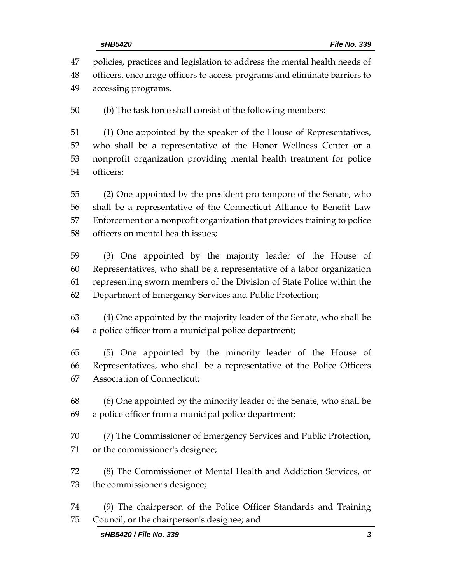policies, practices and legislation to address the mental health needs of officers, encourage officers to access programs and eliminate barriers to accessing programs. (b) The task force shall consist of the following members:

 (1) One appointed by the speaker of the House of Representatives, who shall be a representative of the Honor Wellness Center or a nonprofit organization providing mental health treatment for police officers;

 (2) One appointed by the president pro tempore of the Senate, who shall be a representative of the Connecticut Alliance to Benefit Law Enforcement or a nonprofit organization that provides training to police officers on mental health issues;

 (3) One appointed by the majority leader of the House of Representatives, who shall be a representative of a labor organization representing sworn members of the Division of State Police within the Department of Emergency Services and Public Protection;

 (4) One appointed by the majority leader of the Senate, who shall be a police officer from a municipal police department;

 (5) One appointed by the minority leader of the House of Representatives, who shall be a representative of the Police Officers Association of Connecticut;

 (6) One appointed by the minority leader of the Senate, who shall be a police officer from a municipal police department;

 (7) The Commissioner of Emergency Services and Public Protection, or the commissioner's designee;

 (8) The Commissioner of Mental Health and Addiction Services, or the commissioner's designee;

 (9) The chairperson of the Police Officer Standards and Training Council, or the chairperson's designee; and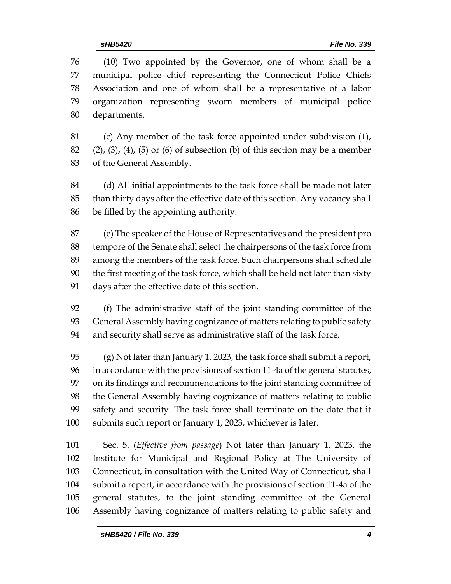(10) Two appointed by the Governor, one of whom shall be a municipal police chief representing the Connecticut Police Chiefs Association and one of whom shall be a representative of a labor organization representing sworn members of municipal police departments.

 (c) Any member of the task force appointed under subdivision (1), (2), (3), (4), (5) or (6) of subsection (b) of this section may be a member of the General Assembly.

 (d) All initial appointments to the task force shall be made not later than thirty days after the effective date of this section. Any vacancy shall be filled by the appointing authority.

 (e) The speaker of the House of Representatives and the president pro tempore of the Senate shall select the chairpersons of the task force from among the members of the task force. Such chairpersons shall schedule the first meeting of the task force, which shall be held not later than sixty days after the effective date of this section.

 (f) The administrative staff of the joint standing committee of the General Assembly having cognizance of matters relating to public safety and security shall serve as administrative staff of the task force.

 (g) Not later than January 1, 2023, the task force shall submit a report, in accordance with the provisions of section 11-4a of the general statutes, on its findings and recommendations to the joint standing committee of the General Assembly having cognizance of matters relating to public safety and security. The task force shall terminate on the date that it submits such report or January 1, 2023, whichever is later.

 Sec. 5. (*Effective from passage*) Not later than January 1, 2023, the Institute for Municipal and Regional Policy at The University of Connecticut, in consultation with the United Way of Connecticut, shall submit a report, in accordance with the provisions of section 11-4a of the general statutes, to the joint standing committee of the General Assembly having cognizance of matters relating to public safety and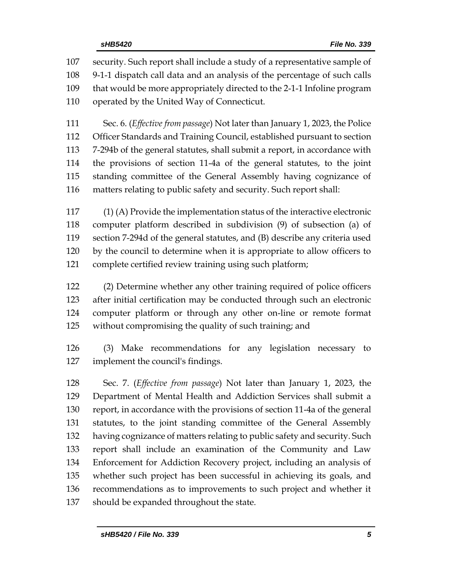security. Such report shall include a study of a representative sample of 9-1-1 dispatch call data and an analysis of the percentage of such calls that would be more appropriately directed to the 2-1-1 Infoline program operated by the United Way of Connecticut.

 Sec. 6. (*Effective from passage*) Not later than January 1, 2023, the Police Officer Standards and Training Council, established pursuant to section 7-294b of the general statutes, shall submit a report, in accordance with the provisions of section 11-4a of the general statutes, to the joint standing committee of the General Assembly having cognizance of matters relating to public safety and security. Such report shall:

 (1) (A) Provide the implementation status of the interactive electronic computer platform described in subdivision (9) of subsection (a) of section 7-294d of the general statutes, and (B) describe any criteria used by the council to determine when it is appropriate to allow officers to complete certified review training using such platform;

 (2) Determine whether any other training required of police officers after initial certification may be conducted through such an electronic computer platform or through any other on-line or remote format without compromising the quality of such training; and

 (3) Make recommendations for any legislation necessary to implement the council's findings.

 Sec. 7. (*Effective from passage*) Not later than January 1, 2023, the Department of Mental Health and Addiction Services shall submit a report, in accordance with the provisions of section 11-4a of the general statutes, to the joint standing committee of the General Assembly having cognizance of matters relating to public safety and security. Such report shall include an examination of the Community and Law Enforcement for Addiction Recovery project, including an analysis of whether such project has been successful in achieving its goals, and recommendations as to improvements to such project and whether it should be expanded throughout the state.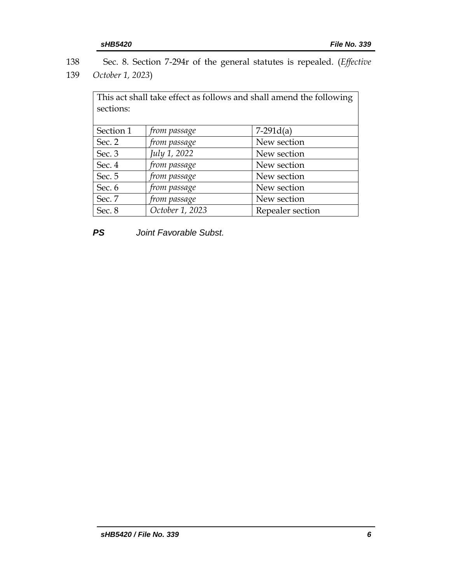| 138 | Sec. 8. Section 7-294r of the general statutes is repealed. ( <i>Effective</i> |  |
|-----|--------------------------------------------------------------------------------|--|
|     | 139 October 1, 2023)                                                           |  |

| This act shall take effect as follows and shall amend the following |                 |                  |  |  |  |  |
|---------------------------------------------------------------------|-----------------|------------------|--|--|--|--|
| sections:                                                           |                 |                  |  |  |  |  |
|                                                                     |                 |                  |  |  |  |  |
| Section 1                                                           | from passage    | $7-291d(a)$      |  |  |  |  |
| Sec. 2                                                              | from passage    | New section      |  |  |  |  |
| Sec. 3                                                              | July 1, 2022    | New section      |  |  |  |  |
| Sec. 4                                                              | from passage    | New section      |  |  |  |  |
| Sec. 5                                                              | from passage    | New section      |  |  |  |  |
| Sec. 6                                                              | from passage    | New section      |  |  |  |  |
| Sec. 7                                                              | from passage    | New section      |  |  |  |  |
| Sec. 8                                                              | October 1, 2023 | Repealer section |  |  |  |  |

*PS Joint Favorable Subst.*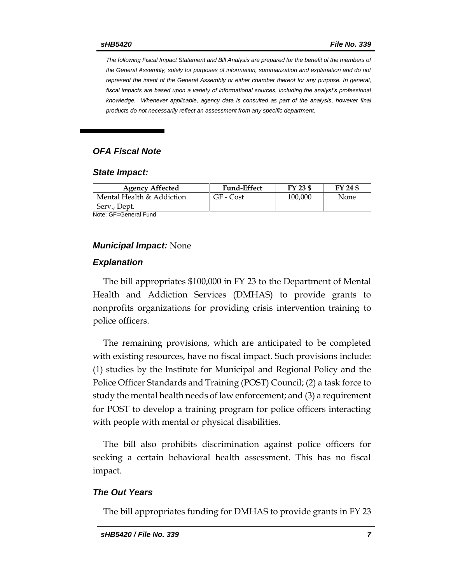*The following Fiscal Impact Statement and Bill Analysis are prepared for the benefit of the members of the General Assembly, solely for purposes of information, summarization and explanation and do not represent the intent of the General Assembly or either chamber thereof for any purpose. In general,*  fiscal impacts are based upon a variety of informational sources, including the analyst's professional *knowledge. Whenever applicable, agency data is consulted as part of the analysis, however final products do not necessarily reflect an assessment from any specific department.*

## *OFA Fiscal Note*

#### *State Impact:*

| <b>Agency Affected</b>    | <b>Fund-Effect</b> | FY 23 \$ | FY 24 \$ |  |  |
|---------------------------|--------------------|----------|----------|--|--|
| Mental Health & Addiction | GF - Cost          | 100,000  | None     |  |  |
| Serv., Dept.              |                    |          |          |  |  |
| Note: GF=General Fund     |                    |          |          |  |  |

#### *Municipal Impact:* None

#### *Explanation*

The bill appropriates \$100,000 in FY 23 to the Department of Mental Health and Addiction Services (DMHAS) to provide grants to nonprofits organizations for providing crisis intervention training to police officers.

The remaining provisions, which are anticipated to be completed with existing resources, have no fiscal impact. Such provisions include: (1) studies by the Institute for Municipal and Regional Policy and the Police Officer Standards and Training (POST) Council; (2) a task force to study the mental health needs of law enforcement; and (3) a requirement for POST to develop a training program for police officers interacting with people with mental or physical disabilities.

The bill also prohibits discrimination against police officers for seeking a certain behavioral health assessment. This has no fiscal impact.

#### *The Out Years*

The bill appropriates funding for DMHAS to provide grants in FY 23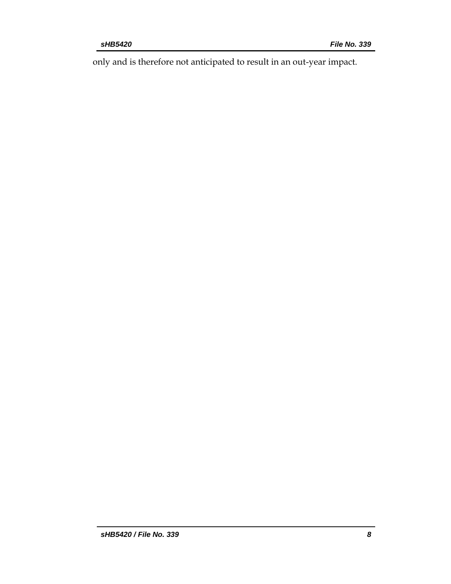only and is therefore not anticipated to result in an out-year impact.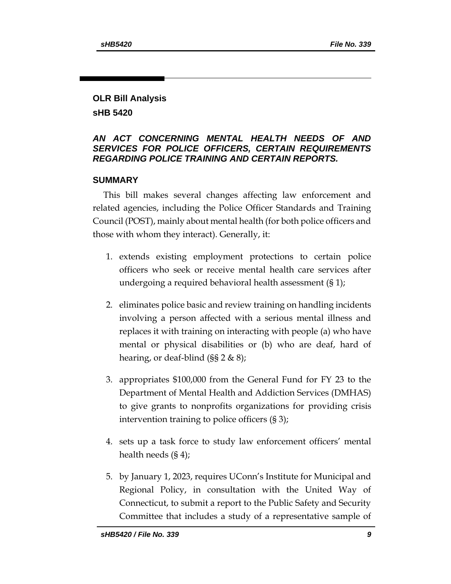# **OLR Bill Analysis sHB 5420**

# *AN ACT CONCERNING MENTAL HEALTH NEEDS OF AND SERVICES FOR POLICE OFFICERS, CERTAIN REQUIREMENTS REGARDING POLICE TRAINING AND CERTAIN REPORTS.*

# **SUMMARY**

This bill makes several changes affecting law enforcement and related agencies, including the Police Officer Standards and Training Council (POST), mainly about mental health (for both police officers and those with whom they interact). Generally, it:

- 1. extends existing employment protections to certain police officers who seek or receive mental health care services after undergoing a required behavioral health assessment (§ 1);
- 2. eliminates police basic and review training on handling incidents involving a person affected with a serious mental illness and replaces it with training on interacting with people (a) who have mental or physical disabilities or (b) who are deaf, hard of hearing, or deaf-blind (§§ 2 & 8);
- 3. appropriates \$100,000 from the General Fund for FY 23 to the Department of Mental Health and Addiction Services (DMHAS) to give grants to nonprofits organizations for providing crisis intervention training to police officers (§ 3);
- 4. sets up a task force to study law enforcement officers' mental health needs (§ 4);
- 5. by January 1, 2023, requires UConn's Institute for Municipal and Regional Policy, in consultation with the United Way of Connecticut, to submit a report to the Public Safety and Security Committee that includes a study of a representative sample of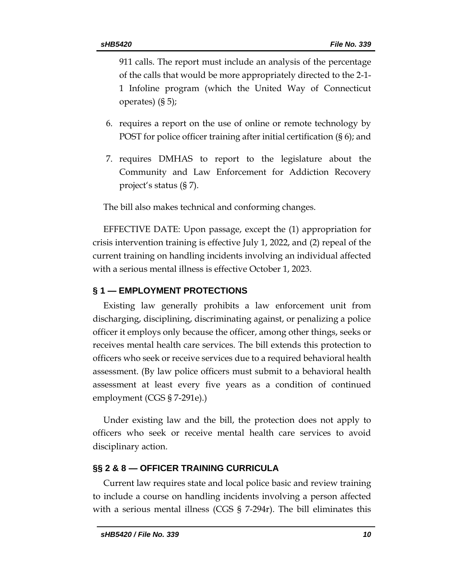911 calls. The report must include an analysis of the percentage of the calls that would be more appropriately directed to the 2-1- 1 Infoline program (which the United Way of Connecticut operates) (§ 5);

- 6. requires a report on the use of online or remote technology by POST for police officer training after initial certification (§ 6); and
- 7. requires DMHAS to report to the legislature about the Community and Law Enforcement for Addiction Recovery project's status (§ 7).

The bill also makes technical and conforming changes.

EFFECTIVE DATE: Upon passage, except the (1) appropriation for crisis intervention training is effective July 1, 2022, and (2) repeal of the current training on handling incidents involving an individual affected with a serious mental illness is effective October 1, 2023.

### **§ 1 — EMPLOYMENT PROTECTIONS**

Existing law generally prohibits a law enforcement unit from discharging, disciplining, discriminating against, or penalizing a police officer it employs only because the officer, among other things, seeks or receives mental health care services. The bill extends this protection to officers who seek or receive services due to a required behavioral health assessment. (By law police officers must submit to a behavioral health assessment at least every five years as a condition of continued employment (CGS § 7-291e).)

Under existing law and the bill, the protection does not apply to officers who seek or receive mental health care services to avoid disciplinary action.

### **§§ 2 & 8 — OFFICER TRAINING CURRICULA**

Current law requires state and local police basic and review training to include a course on handling incidents involving a person affected with a serious mental illness (CGS § 7-294r). The bill eliminates this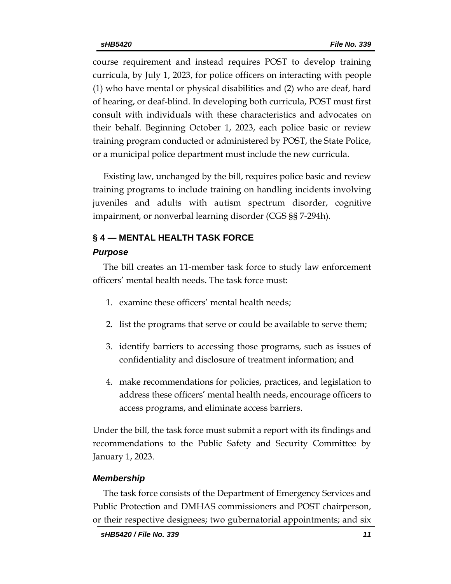course requirement and instead requires POST to develop training curricula, by July 1, 2023, for police officers on interacting with people (1) who have mental or physical disabilities and (2) who are deaf, hard of hearing, or deaf-blind. In developing both curricula, POST must first consult with individuals with these characteristics and advocates on their behalf. Beginning October 1, 2023, each police basic or review training program conducted or administered by POST, the State Police, or a municipal police department must include the new curricula.

Existing law, unchanged by the bill, requires police basic and review training programs to include training on handling incidents involving juveniles and adults with autism spectrum disorder, cognitive impairment, or nonverbal learning disorder (CGS §§ 7-294h).

# **§ 4 — MENTAL HEALTH TASK FORCE**

# *Purpose*

The bill creates an 11-member task force to study law enforcement officers' mental health needs. The task force must:

- 1. examine these officers' mental health needs;
- 2. list the programs that serve or could be available to serve them;
- 3. identify barriers to accessing those programs, such as issues of confidentiality and disclosure of treatment information; and
- 4. make recommendations for policies, practices, and legislation to address these officers' mental health needs, encourage officers to access programs, and eliminate access barriers.

Under the bill, the task force must submit a report with its findings and recommendations to the Public Safety and Security Committee by January 1, 2023.

# *Membership*

The task force consists of the Department of Emergency Services and Public Protection and DMHAS commissioners and POST chairperson, or their respective designees; two gubernatorial appointments; and six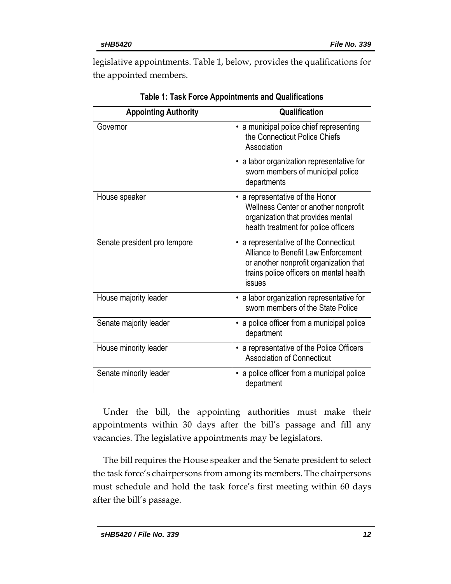legislative appointments. Table 1, below, provides the qualifications for the appointed members.

| <b>Appointing Authority</b>  | Qualification                                                                                                                                                               |  |  |
|------------------------------|-----------------------------------------------------------------------------------------------------------------------------------------------------------------------------|--|--|
| Governor                     | • a municipal police chief representing<br>the Connecticut Police Chiefs<br>Association                                                                                     |  |  |
|                              | • a labor organization representative for<br>sworn members of municipal police<br>departments                                                                               |  |  |
| House speaker                | • a representative of the Honor<br>Wellness Center or another nonprofit<br>organization that provides mental<br>health treatment for police officers                        |  |  |
| Senate president pro tempore | • a representative of the Connecticut<br>Alliance to Benefit Law Enforcement<br>or another nonprofit organization that<br>trains police officers on mental health<br>issues |  |  |
| House majority leader        | • a labor organization representative for<br>sworn members of the State Police                                                                                              |  |  |
| Senate majority leader       | • a police officer from a municipal police<br>department                                                                                                                    |  |  |
| House minority leader        | • a representative of the Police Officers<br><b>Association of Connecticut</b>                                                                                              |  |  |
| Senate minority leader       | • a police officer from a municipal police<br>department                                                                                                                    |  |  |

**Table 1: Task Force Appointments and Qualifications**

Under the bill, the appointing authorities must make their appointments within 30 days after the bill's passage and fill any vacancies. The legislative appointments may be legislators.

The bill requires the House speaker and the Senate president to select the task force's chairpersons from among its members. The chairpersons must schedule and hold the task force's first meeting within 60 days after the bill's passage.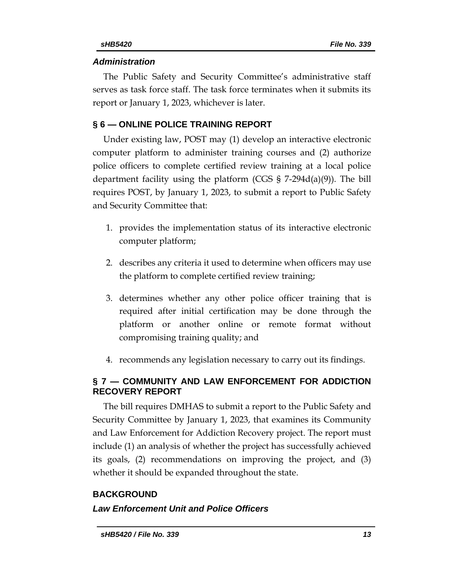# *Administration*

The Public Safety and Security Committee's administrative staff serves as task force staff. The task force terminates when it submits its report or January 1, 2023, whichever is later.

# **§ 6 — ONLINE POLICE TRAINING REPORT**

Under existing law, POST may (1) develop an interactive electronic computer platform to administer training courses and (2) authorize police officers to complete certified review training at a local police department facility using the platform (CGS  $\S$  7-294d(a)(9)). The bill requires POST, by January 1, 2023, to submit a report to Public Safety and Security Committee that:

- 1. provides the implementation status of its interactive electronic computer platform;
- 2. describes any criteria it used to determine when officers may use the platform to complete certified review training;
- 3. determines whether any other police officer training that is required after initial certification may be done through the platform or another online or remote format without compromising training quality; and
- 4. recommends any legislation necessary to carry out its findings.

# **§ 7 — COMMUNITY AND LAW ENFORCEMENT FOR ADDICTION RECOVERY REPORT**

The bill requires DMHAS to submit a report to the Public Safety and Security Committee by January 1, 2023, that examines its Community and Law Enforcement for Addiction Recovery project. The report must include (1) an analysis of whether the project has successfully achieved its goals, (2) recommendations on improving the project, and (3) whether it should be expanded throughout the state.

# **BACKGROUND**

# *Law Enforcement Unit and Police Officers*